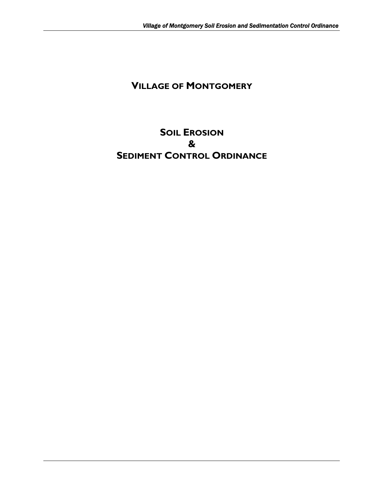# **VILLAGE OF MONTGOMERY**

# **SOIL EROSION & SEDIMENT CONTROL ORDINANCE**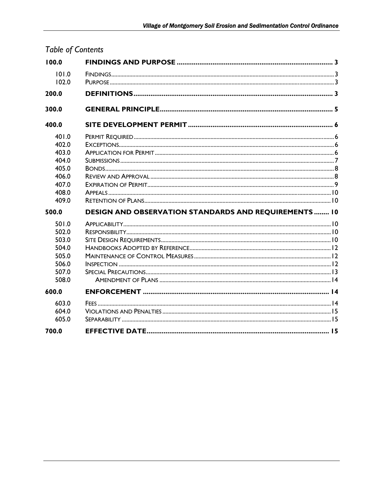| 100.0 |                                                              |  |  |  |  |  |
|-------|--------------------------------------------------------------|--|--|--|--|--|
| 101.0 |                                                              |  |  |  |  |  |
| 102.0 |                                                              |  |  |  |  |  |
| 200.0 |                                                              |  |  |  |  |  |
| 300.0 |                                                              |  |  |  |  |  |
| 400.0 |                                                              |  |  |  |  |  |
| 401.0 |                                                              |  |  |  |  |  |
| 402.0 |                                                              |  |  |  |  |  |
| 403.0 |                                                              |  |  |  |  |  |
| 404.0 |                                                              |  |  |  |  |  |
| 405.0 |                                                              |  |  |  |  |  |
| 406.0 |                                                              |  |  |  |  |  |
| 407.0 |                                                              |  |  |  |  |  |
| 408.0 |                                                              |  |  |  |  |  |
| 409.0 |                                                              |  |  |  |  |  |
| 500.0 | <b>DESIGN AND OBSERVATION STANDARDS AND REQUIREMENTS  10</b> |  |  |  |  |  |
| 501.0 |                                                              |  |  |  |  |  |
| 502.0 |                                                              |  |  |  |  |  |
| 503.0 |                                                              |  |  |  |  |  |
| 504.0 |                                                              |  |  |  |  |  |
| 505.0 |                                                              |  |  |  |  |  |
| 506.0 |                                                              |  |  |  |  |  |
| 507.0 |                                                              |  |  |  |  |  |
| 508.0 |                                                              |  |  |  |  |  |
| 600.0 |                                                              |  |  |  |  |  |
| 603.0 |                                                              |  |  |  |  |  |
| 604.0 |                                                              |  |  |  |  |  |
| 605.0 |                                                              |  |  |  |  |  |
| 700.0 |                                                              |  |  |  |  |  |

# Table of Contents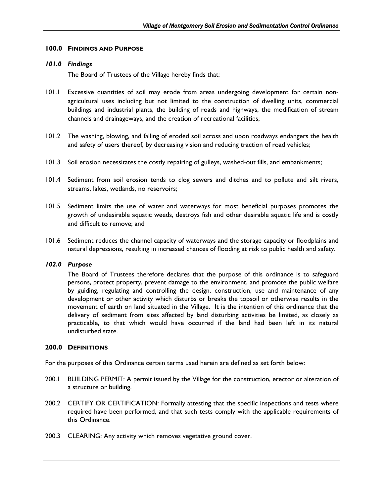## <span id="page-2-0"></span>**100.0 FINDINGS AND PURPOSE**

## *101.0 Findings*

The Board of Trustees of the Village hereby finds that:

- 101.1 Excessive quantities of soil may erode from areas undergoing development for certain nonagricultural uses including but not limited to the construction of dwelling units, commercial buildings and industrial plants, the building of roads and highways, the modification of stream channels and drainageways, and the creation of recreational facilities;
- 101.2 The washing, blowing, and falling of eroded soil across and upon roadways endangers the health and safety of users thereof, by decreasing vision and reducing traction of road vehicles;
- 101.3 Soil erosion necessitates the costly repairing of gulleys, washed-out fills, and embankments;
- 101.4 Sediment from soil erosion tends to clog sewers and ditches and to pollute and silt rivers, streams, lakes, wetlands, no reservoirs;
- 101.5 Sediment limits the use of water and waterways for most beneficial purposes promotes the growth of undesirable aquatic weeds, destroys fish and other desirable aquatic life and is costly and difficult to remove; and
- 101.6 Sediment reduces the channel capacity of waterways and the storage capacity or floodplains and natural depressions, resulting in increased chances of flooding at risk to public health and safety.

## *102.0 Purpose*

The Board of Trustees therefore declares that the purpose of this ordinance is to safeguard persons, protect property, prevent damage to the environment, and promote the public welfare by guiding, regulating and controlling the design, construction, use and maintenance of any development or other activity which disturbs or breaks the topsoil or otherwise results in the movement of earth on land situated in the Village. It is the intention of this ordinance that the delivery of sediment from sites affected by land disturbing activities be limited, as closely as practicable, to that which would have occurred if the land had been left in its natural undisturbed state.

#### **200.0 DEFINITIONS**

For the purposes of this Ordinance certain terms used herein are defined as set forth below:

- 200.1 BUILDING PERMIT: A permit issued by the Village for the construction, erector or alteration of a structure or building.
- 200.2 CERTIFY OR CERTIFICATION: Formally attesting that the specific inspections and tests where required have been performed, and that such tests comply with the applicable requirements of this Ordinance.
- 200.3 CLEARING: Any activity which removes vegetative ground cover.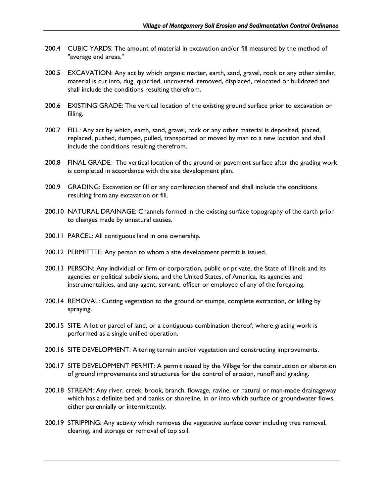- 200.4 CUBIC YARDS: The amount of material in excavation and/or fill measured by the method of "average end areas."
- 200.5 EXCAVATION: Any act by which organic matter, earth, sand, gravel, rook or any other similar, material is cut into, dug, quarried, uncovered, removed, displaced, relocated or bulldozed and shall include the conditions resulting therefrom.
- 200.6 EXISTING GRADE: The vertical location of the existing ground surface prior to excavation or filling.
- 200.7 FILL: Any act by which, earth, sand, gravel, rock or any other material is deposited, placed, replaced, pushed, dumped, pulled, transported or moved by man to a new location and shall include the conditions resulting therefrom.
- 200.8 FINAL GRADE: The vertical location of the ground or pavement surface after the grading work is completed in accordance with the site development plan.
- 200.9 GRADING: Excavation or fill or any combination thereof and shall include the conditions resulting from any excavation or fill.
- 200.10 NATURAL DRAINAGE: Channels formed in the existing surface topography of the earth prior to changes made by unnatural causes.
- 200.11 PARCEL: All contiguous land in one ownership.
- 200.12 PERMITTEE: Any person to whom a site development permit is issued.
- 200.13 PERSON: Any individual or firm or corporation, public or private, the State of Illinois and its agencies or political subdivisions, and the United States, of America, its agencies and instrumentalities, and any agent, servant, officer or employee of any of the foregoing.
- 200.14 REMOVAL: Cutting vegetation to the ground or stumps, complete extraction, or killing by spraying.
- 200.15 SITE: A lot or parcel of land, or a contiguous combination thereof, where gracing work is performed as a single unified operation.
- 200.16 SITE DEVELOPMENT: Altering terrain and/or vegetation and constructing improvements.
- 200.17 SITE DEVELOPMENT PERMIT: A permit issued by the Village for the construction or alteration of ground improvements and structures for the control of erosion, runoff and grading.
- 200.18 STREAM: Any river, creek, brook, branch, flowage, ravine, or natural or man-made drainageway which has a definite bed and banks or shoreline, in or into which surface or groundwater flows, either perennially or intermittently.
- 200.19 STRIPPING: Any activity which removes the vegetative surface cover including tree removal, clearing, and storage or removal of top soil.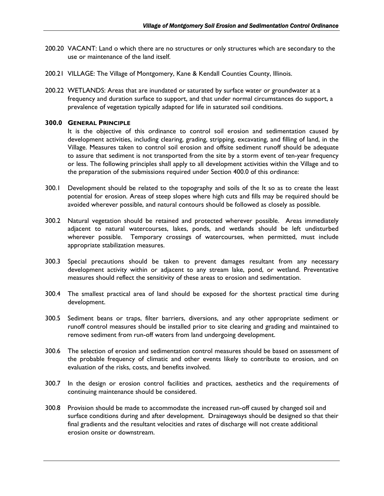- <span id="page-4-0"></span>200.20 VACANT: Land o which there are no structures or only structures which are secondary to the use or maintenance of the land itself.
- 200.21 VILLAGE: The Village of Montgomery, Kane & Kendall Counties County, Illinois.
- 200.22 WETLANDS: Areas that are inundated or saturated by surface water or groundwater at a frequency and duration surface to support, and that under normal circumstances do support, a prevalence of vegetation typically adapted for life in saturated soil conditions.

## **300.0 GENERAL PRINCIPLE**

 It is the objective of this ordinance to control soil erosion and sedimentation caused by development activities, including clearing, grading, stripping, excavating, and filling of land, in the Village. Measures taken to control soil erosion and offsite sediment runoff should be adequate to assure that sediment is not transported from the site by a storm event of ten-year frequency or less. The following principles shall apply to all development activities within the Village and to the preparation of the submissions required under Section 400.0 of this ordinance:

- 300.1 Development should be related to the topography and soils of the It so as to create the least potential for erosion. Areas of steep slopes where high cuts and fills may be required should be avoided wherever possible, and natural contours should be followed as closely as possible.
- 300.2 Natural vegetation should be retained and protected wherever possible. Areas immediately adjacent to natural watercourses, lakes, ponds, and wetlands should be left undisturbed wherever possible. Temporary crossings of watercourses, when permitted, must include appropriate stabilization measures.
- 300.3 Special precautions should be taken to prevent damages resultant from any necessary development activity within or adjacent to any stream lake, pond, or wetland. Preventative measures should reflect the sensitivity of these areas to erosion and sedimentation.
- 300.4 The smallest practical area of land should be exposed for the shortest practical time during development.
- 300.5 Sediment beans or traps, filter barriers, diversions, and any other appropriate sediment or runoff control measures should be installed prior to site clearing and grading and maintained to remove sediment from run-off waters from land undergoing development.
- 300.6 The selection of erosion and sedimentation control measures should be based on assessment of the probable frequency of climatic and other events likely to contribute to erosion, and on evaluation of the risks, costs, and benefits involved.
- 300.7 In the design or erosion control facilities and practices, aesthetics and the requirements of continuing maintenance should be considered.
- 300.8 Provision should be made to accommodate the increased run-off caused by changed soil and surface conditions during and after development. Drainageways should be designed so that their final gradients and the resultant velocities and rates of discharge will not create additional erosion onsite or downstream.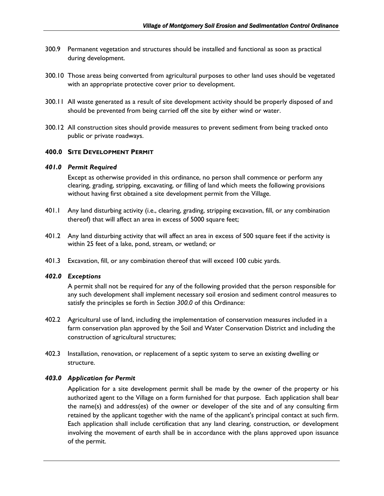- <span id="page-5-0"></span>300.9 Permanent vegetation and structures should be installed and functional as soon as practical during development.
- 300.10 Those areas being converted from agricultural purposes to other land uses should be vegetated with an appropriate protective cover prior to development.
- 300.11 All waste generated as a result of site development activity should be properly disposed of and should be prevented from being carried off the site by either wind or water.
- 300.12 All construction sites should provide measures to prevent sediment from being tracked onto public or private roadways.

## **400.0 SITE DEVELOPMENT PERMIT**

#### *401.0 Permit Required*

Except as otherwise provided in this ordinance, no person shall commence or perform any clearing, grading, stripping, excavating, or filling of land which meets the following provisions without having first obtained a site development permit from the Village.

- 401.1 Any land disturbing activity (i.e., clearing, grading, stripping excavation, fill, or any combination thereof) that will affect an area in excess of 5000 square feet;
- 401.2 Any land disturbing activity that will affect an area in excess of 500 square feet if the activity is within 25 feet of a lake, pond, stream, or wetland; or
- 401.3 Excavation, fill, or any combination thereof that will exceed 100 cubic yards.

#### *402.0 Exceptions*

 A permit shall not be required for any of the following provided that the person responsible for any such development shall implement necessary soil erosion and sediment control measures to satisfy the principles se forth in *Section 300.0* of this Ordinance:

- 402.2 Agricultural use of land, including the implementation of conservation measures included in a farm conservation plan approved by the Soil and Water Conservation District and including the construction of agricultural structures;
- 402.3 Installation, renovation, or replacement of a septic system to serve an existing dwelling or structure.

## *403.0 Application for Permit*

Application for a site development permit shall be made by the owner of the property or his authorized agent to the Village on a form furnished for that purpose. Each application shall bear the name(s) and address(es) of the owner or developer of the site and of any consulting firm retained by the applicant together with the name of the applicant's principal contact at such firm. Each application shall include certification that any land clearing, construction, or development involving the movement of earth shall be in accordance with the plans approved upon issuance of the permit.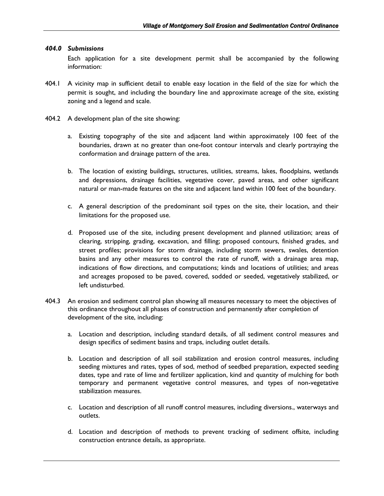### <span id="page-6-0"></span>*404.0 Submissions*

Each application for a site development permit shall be accompanied by the following information:

- 404.1 A vicinity map in sufficient detail to enable easy location in the field of the size for which the permit is sought, and including the boundary line and approximate acreage of the site, existing zoning and a legend and scale.
- 404.2 A development plan of the site showing:
	- a. Existing topography of the site and adjacent land within approximately 100 feet of the boundaries, drawn at no greater than one-foot contour intervals and clearly portraying the conformation and drainage pattern of the area.
	- b. The location of existing buildings, structures, utilities, streams, lakes, floodplains, wetlands and depressions, drainage facilities, vegetative cover, paved areas, and other significant natural or man-made features on the site and adjacent land within 100 feet of the boundary.
	- c. A general description of the predominant soil types on the site, their location, and their limitations for the proposed use.
	- d. Proposed use of the site, including present development and planned utilization; areas of clearing, stripping, grading, excavation, and filling; proposed contours, finished grades, and street profiles; provisions for storm drainage, including storm sewers, swales, detention basins and any other measures to control the rate of runoff, with a drainage area map, indications of flow directions, and computations; kinds and locations of utilities; and areas and acreages proposed to be paved, covered, sodded or seeded, vegetatively stabilized, or left undisturbed.
- 404.3 An erosion and sediment control plan showing all measures necessary to meet the objectives of this ordinance throughout all phases of construction and permanently after completion of development of the site, including:
	- a. Location and description, including standard details, of all sediment control measures and design specifics of sediment basins and traps, including outlet details.
	- b. Location and description of all soil stabilization and erosion control measures, including seeding mixtures and rates, types of sod, method of seedbed preparation, expected seeding dates, type and rate of lime and fertilizer application, kind and quantity of mulching for both temporary and permanent vegetative control measures, and types of non-vegetative stabilization measures.
	- c. Location and description of all runoff control measures, including diversions., waterways and outlets.
	- d. Location and description of methods to prevent tracking of sediment offsite, including construction entrance details, as appropriate.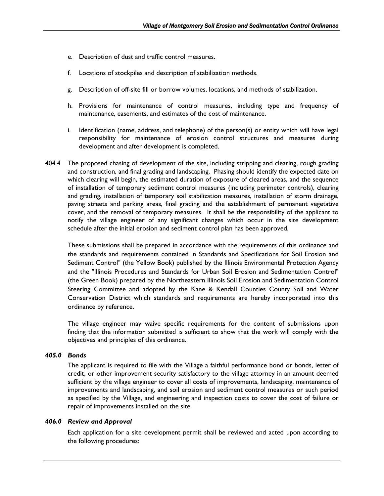- <span id="page-7-0"></span>e. Description of dust and traffic control measures.
- f. Locations of stockpiles and description of stabilization methods.
- g. Description of off-site fill or borrow volumes, locations, and methods of stabilization.
- h. Provisions for maintenance of control measures, including type and frequency of maintenance, easements, and estimates of the cost of maintenance.
- i. Identification (name, address, and telephone) of the person(s) or entity which will have legal responsibility for maintenance of erosion control structures and measures during development and after development is completed.
- 404.4 The proposed chasing of development of the site, including stripping and clearing, rough grading and construction, and final grading and landscaping. Phasing should identify the expected date on which clearing will begin, the estimated duration of exposure of cleared areas, and the sequence of installation of temporary sediment control measures (including perimeter controls), clearing and grading, installation of temporary soil stabilization measures, installation of storm drainage, paving streets and parking areas, final grading and the establishment of permanent vegetative cover, and the removal of temporary measures. It shall be the responsibility of the applicant to notify the village engineer of any significant changes which occur in the site development schedule after the initial erosion and sediment control plan has been approved.

 These submissions shall be prepared in accordance with the requirements of this ordinance and the standards and requirements contained in Standards and Specifications for Soil Erosion and Sediment Control" (the Yellow Book) published by the Illinois Environmental Protection Agency and the "Illinois Procedures and Standards for Urban Soil Erosion and Sedimentation Control" (the Green Book) prepared by the Northeastern Illinois Soil Erosion and Sedimentation Control Steering Committee and adopted by the Kane & Kendall Counties County Soil and Water Conservation District which standards and requirements are hereby incorporated into this ordinance by reference.

 The village engineer may waive specific requirements for the content of submissions upon finding that the information submitted is sufficient to show that the work will comply with the objectives and principles of this ordinance.

## *405.0 Bonds*

The applicant is required to file with the Village a faithful performance bond or bonds, letter of credit, or other improvement security satisfactory to the village attorney in an amount deemed sufficient by the village engineer to cover all costs of improvements, Iandscaping, maintenance of improvements and landscaping, and soil erosion and sediment control measures or such period as specified by the Village, and engineering and inspection costs to cover the cost of failure or repair of improvements installed on the site.

## *406.0 Review and Approval*

Each application for a site development permit shall be reviewed and acted upon according to the following procedures: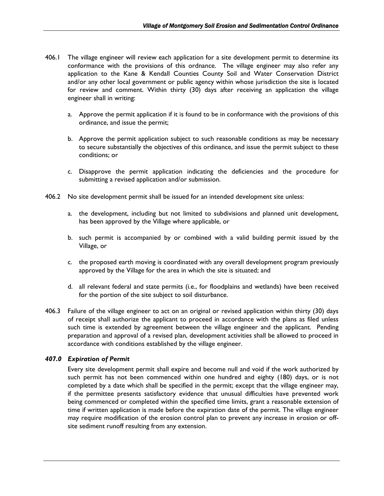- <span id="page-8-0"></span>406.1 The village engineer will review each application for a site development permit to determine its conformance with the provisions of this ordnance. The village engineer may also refer any application to the Kane & Kendall Counties County Soil and Water Conservation District and/or any other local government or public agency within whose jurisdiction the site is located for review and comment. Within thirty (30) days after receiving an application the village engineer shall in writing:
	- a. Approve the permit application if it is found to be in conformance with the provisions of this ordinance, and issue the permit;
	- b. Approve the permit application subject to such reasonable conditions as may be necessary to secure substantially the objectives of this ordinance, and issue the permit subject to these conditions; or
	- c. Disapprove the permit application indicating the deficiencies and the procedure for submitting a revised application and/or submission.
- 406.2 No site development permit shall be issued for an intended development site unless:
	- a. the development, including but not limited to subdivisions and planned unit development, has been approved by the Village where applicable, or
	- b. such permit is accompanied by or combined with a valid building permit issued by the Village, or
	- c. the proposed earth moving is coordinated with any overall development program previously approved by the Village for the area in which the site is situated; and
	- d. all relevant federal and state permits (i.e., for floodplains and wetlands) have been received for the portion of the site subject to soil disturbance.
- 406.3 Failure of the village engineer to act on an original or revised application within thirty (30) days of receipt shall authorize the applicant to proceed in accordance with the plans as filed unless such time is extended by agreement between the village engineer and the applicant. Pending preparation and approval of a revised plan, development activities shall be allowed to proceed in accordance with conditions established by the village engineer.

## *407.0 Expiration of Permit*

Every site development permit shall expire and become null and void if the work authorized by such permit has not been commenced within one hundred and eighty (180) days, or is not completed by a date which shall be specified in the permit; except that the village engineer may, if the permittee presents satisfactory evidence that unusual difficulties have prevented work being commenced or completed within the specified time limits, grant a reasonable extension of time if written application is made before the expiration date of the permit. The village engineer may require modification of the erosion control plan to prevent any increase in erosion or offsite sediment runoff resulting from any extension.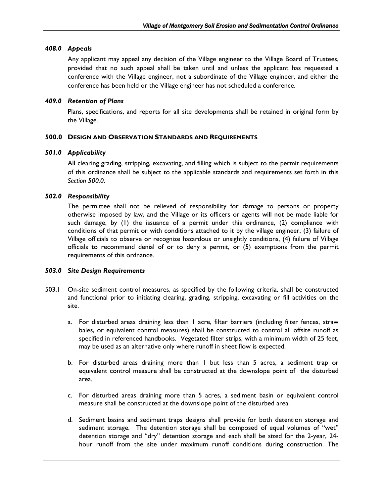## <span id="page-9-0"></span>*408.0 Appeals*

Any applicant may appeal any decision of the Village engineer to the Village Board of Trustees, provided that no such appeal shall be taken until and unless the applicant has requested a conference with the Village engineer, not a subordinate of the Village engineer, and either the conference has been held or the Village engineer has not scheduled a conference.

## *409.0 Retention of Plans*

Plans, specifications, and reports for all site developments shall be retained in original form by the Village.

### **500.0 DESIGN AND OBSERVATION STANDARDS AND REQUIREMENTS**

### *501.0 Applicability*

All clearing grading, stripping, excavating, and filling which is subject to the permit requirements of this ordinance shall be subject to the applicable standards and requirements set forth in this *Section 500.0*.

## *502.0 Responsibility*

The permittee shall not be relieved of responsibility for damage to persons or property otherwise imposed by law, and the Village or its officers or agents will not be made liable for such damage, by (1) the issuance of a permit under this ordinance, (2) compliance with conditions of that permit or with conditions attached to it by the village engineer, (3) failure of Village officials to observe or recognize hazardous or unsightly conditions, (4) failure of Village officials to recommend denial of or to deny a permit, or (5) exemptions from the permit requirements of this ordnance.

#### *503.0 Site Design Requirements*

- 503.1 On-site sediment control measures, as specified by the following criteria, shall be constructed and functional prior to initiating clearing, grading, stripping, excavating or fill activities on the site.
	- a. For disturbed areas draining less than 1 acre, filter barriers (including filter fences, straw bales, or equivalent control measures) shall be constructed to control all offsite runoff as specified in referenced handbooks. Vegetated filter strips, with a minimum width of 25 feet, may be used as an alternative only where runoff in sheet flow is expected.
	- b. For disturbed areas draining more than 1 but less than 5 acres, a sediment trap or equivalent control measure shall be constructed at the downslope point of the disturbed area.
	- c. For disturbed areas draining more than 5 acres, a sediment basin or equivalent control measure shall be constructed at the downslope point of the disturbed area.
	- d. Sediment basins and sediment traps designs shall provide for both detention storage and sediment storage. The detention storage shall be composed of equal volumes of "wet" detention storage and "dry" detention storage and each shall be sized for the 2-year, 24 hour runoff from the site under maximum runoff conditions during construction. The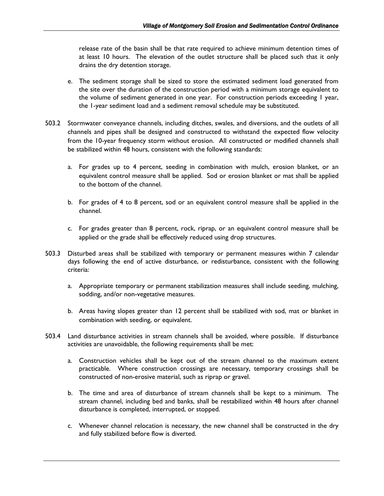release rate of the basin shall be that rate required to achieve minimum detention times of at least 10 hours. The elevation of the outlet structure shall be placed such that it only drains the dry detention storage.

- e. The sediment storage shall be sized to store the estimated sediment load generated from the site over the duration of the construction period with a minimum storage equivalent to the volume of sediment generated in one year. For construction periods exceeding 1 year, the 1-year sediment load and a sediment removal schedule may be substituted.
- 503.2 Stormwater conveyance channels, including ditches, swales, and diversions, and the outlets of all channels and pipes shall be designed and constructed to withstand the expected flow velocity from the 10-year frequency storm without erosion. All constructed or modified channels shall be stabilized within 48 hours, consistent with the following standards:
	- a. For grades up to 4 percent, seeding in combination with mulch, erosion blanket, or an equivalent control measure shall be applied. Sod or erosion blanket or mat shall be applied to the bottom of the channel.
	- b. For grades of 4 to 8 percent, sod or an equivalent control measure shall be applied in the channel.
	- c. For grades greater than 8 percent, rock, riprap, or an equivalent control measure shall be applied or the grade shall be effectively reduced using drop structures.
- 503.3 Disturbed areas shall be stabilized with temporary or permanent measures within 7 calendar days following the end of active disturbance, or redisturbance, consistent with the following criteria:
	- a. Appropriate temporary or permanent stabilization measures shall include seeding, mulching, sodding, and/or non-vegetative measures.
	- b. Areas having slopes greater than 12 percent shall be stabilized with sod, mat or blanket in combination with seeding, or equivalent.
- 503.4 Land disturbance activities in stream channels shall be avoided, where possible. If disturbance activities are unavoidable, the following requirements shall be met:
	- a. Construction vehicles shall be kept out of the stream channel to the maximum extent practicable. Where construction crossings are necessary, temporary crossings shall be constructed of non-erosive material, such as riprap or gravel.
	- b. The time and area of disturbance of stream channels shall be kept to a minimum. The stream channel, including bed and banks, shall be restabilized within 48 hours after channel disturbance is completed, interrupted, or stopped.
	- c. Whenever channel relocation is necessary, the new channel shall be constructed in the dry and fully stabilized before flow is diverted.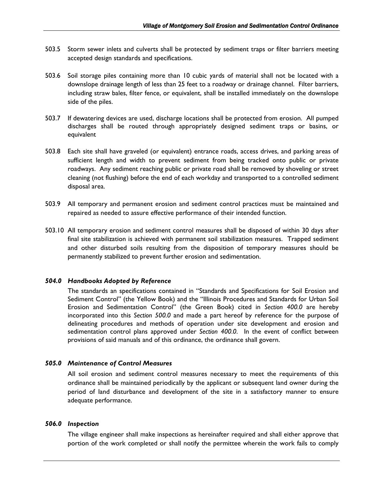- <span id="page-11-0"></span>503.5 Storm sewer inlets and culverts shall be protected by sediment traps or filter barriers meeting accepted design standards and specifications.
- 503.6 Soil storage piles containing more than 10 cubic yards of material shall not be located with a downslope drainage length of less than 25 feet to a roadway or drainage channel. Filter barriers, including straw bales, filter fence, or equivalent, shall be installed immediately on the downslope side of the piles.
- 503.7 If dewatering devices are used, discharge locations shall be protected from erosion. All pumped discharges shall be routed through appropriately designed sediment traps or basins, or equivalent
- 503.8 Each site shall have graveled (or equivalent) entrance roads, access drives, and parking areas of sufficient length and width to prevent sediment from being tracked onto public or private roadways. Any sediment reaching public or private road shall be removed by shoveling or street cleaning (not flushing) before the end of each workday and transported to a controlled sediment disposal area.
- 503.9 All temporary and permanent erosion and sediment control practices must be maintained and repaired as needed to assure effective performance of their intended function.
- 503.10 All temporary erosion and sediment control measures shall be disposed of within 30 days after final site stabilization is achieved with permanent soil stabilization measures. Trapped sediment and other disturbed soils resulting from the disposition of temporary measures should be permanently stabilized to prevent further erosion and sedimentation.

## *504.0 Handbooks Adopted by Reference*

The standards an specifications contained in "Standards and Specifications for Soil Erosion and Sediment Control" (the Yellow Book) and the "Illinois Procedures and Standards for Urban Soil Erosion and Sedimentation Control" (the Green Book) cited in *Section 400.0* are hereby incorporated into this *Section 500.0* and made a part hereof by reference for the purpose of delineating procedures and methods of operation under site development and erosion and sedimentation control plans approved under *Section 400.0*. In the event of conflict between provisions of said manuals and of this ordinance, the ordinance shall govern.

## *505.0 Maintenance of Control Measures*

All soil erosion and sediment control measures necessary to meet the requirements of this ordinance shall be maintained periodically by the applicant or subsequent land owner during the period of land disturbance and development of the site in a satisfactory manner to ensure adequate performance.

#### *506.0 Inspection*

The village engineer shall make inspections as hereinafter required and shall either approve that portion of the work completed or shall notify the permittee wherein the work fails to comply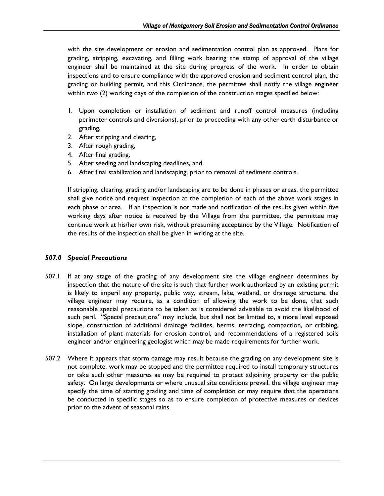<span id="page-12-0"></span>with the site development or erosion and sedimentation control plan as approved. Plans for grading, stripping, excavating, and filling work bearing the stamp of approval of the village engineer shall be maintained at the site during progress of the work. In order to obtain inspections and to ensure compliance with the approved erosion and sediment control plan, the grading or building permit, and this Ordinance, the permittee shall notify the village engineer within two (2) working days of the completion of the construction stages specified below:

- 1. Upon completion or installation of sediment and runoff control measures (including perimeter controls and diversions), prior to proceeding with any other earth disturbance or grading,
- 2. After stripping and clearing,
- 3. After rough grading,
- 4. After final grading,
- 5. After seeding and landscaping deadlines, and
- 6. After final stabilization and landscaping, prior to removal of sediment controls.

If stripping, clearing, grading and/or landscaping are to be done in phases or areas, the permittee shall give notice and request inspection at the completion of each of the above work stages in each phase or area. If an inspection is not made and notification of the results given within five working days after notice is received by the Village from the permittee, the permittee may continue work at his/her own risk, without presuming acceptance by the Village. Notification of the results of the inspection shall be given in writing at the site.

## *507.0 Special Precautions*

- 507.1 If at any stage of the grading of any development site the village engineer determines by inspection that the nature of the site is such that further work authorized by an existing permit is likely to imperil any property, public way, stream, lake, wetland, or drainage structure. the village engineer may require, as a condition of allowing the work to be done, that such reasonable special precautions to be taken as is considered advisable to avoid the likelihood of such peril. "Special precautions" may include, but shall not be limited to, a more level exposed slope, construction of additional drainage facilities, berms, terracing, compaction, or cribbing, installation of plant materials for erosion control, and recommendations of a registered soils engineer and/or engineering geologist which may be made requirements for further work.
- 507.2 Where it appears that storm damage may result because the grading on any development site is not complete, work may be stopped and the permittee required to install temporary structures or take such other measures as may be required to protect adjoining property or the public safety. On large developments or where unusual site conditions prevail, the village engineer may specify the time of starting grading and time of completion or may require that the operations be conducted in specific stages so as to ensure completion of protective measures or devices prior to the advent of seasonal rains.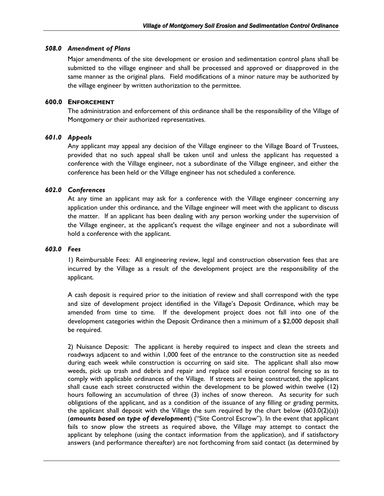## <span id="page-13-0"></span>*508.0 Amendment of Plans*

Major amendments of the site development or erosion and sedimentation control plans shall be submitted to the village engineer and shall be processed and approved or disapproved in the same manner as the original plans. Field modifications of a minor nature may be authorized by the village engineer by written authorization to the permittee.

### **600.0 ENFORCEMENT**

The administration and enforcement of this ordinance shall be the responsibility of the Village of Montgomery or their authorized representatives.

### *601.0 Appeals*

 Any applicant may appeal any decision of the Village engineer to the Village Board of Trustees, provided that no such appeal shall be taken until and unless the applicant has requested a conference with the Village engineer, not a subordinate of the Village engineer, and either the conference has been held or the Village engineer has not scheduled a conference.

## *602.0 Conferences*

At any time an applicant may ask for a conference with the Village engineer concerning any application under this ordinance, and the Village engineer will meet with the applicant to discuss the matter. If an applicant has been dealing with any person working under the supervision of the Village engineer, at the applicant's request the village engineer and not a subordinate will hold a conference with the applicant.

#### *603.0 Fees*

1) Reimbursable Fees: All engineering review, legal and construction observation fees that are incurred by the Village as a result of the development project are the responsibility of the applicant.

 A cash deposit is required prior to the initiation of review and shall correspond with the type and size of development project identified in the Village's Deposit Ordinance, which may be amended from time to time. If the development project does not fall into one of the development categories within the Deposit Ordinance then a minimum of a \$2,000 deposit shall be required.

2) Nuisance Deposit: The applicant is hereby required to inspect and clean the streets and roadways adjacent to and within 1,000 feet of the entrance to the construction site as needed during each week while construction is occurring on said site. The applicant shall also mow weeds, pick up trash and debris and repair and replace soil erosion control fencing so as to comply with applicable ordinances of the Village. If streets are being constructed, the applicant shall cause each street constructed within the development to be plowed within twelve (12) hours following an accumulation of three (3) inches of snow thereon. As security for such obligations of the applicant, and as a condition of the issuance of any filling or grading permits, the applicant shall deposit with the Village the sum required by the chart below  $(603.0(2)(a))$ (*amounts based on type of development*) ("Site Control Escrow"). In the event that applicant fails to snow plow the streets as required above, the Village may attempt to contact the applicant by telephone (using the contact information from the application), and if satisfactory answers (and performance thereafter) are not forthcoming from said contact (as determined by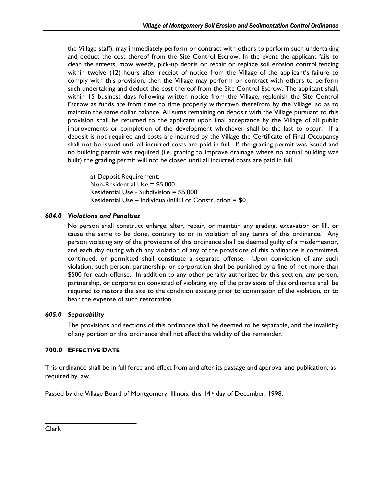<span id="page-14-0"></span>the Village staff), may immediately perform or contract with others to perform such undertaking and deduct the cost thereof from the Site Control Escrow. In the event the applicant fails to clean the streets, mow weeds, pick-up debris or repair or replace soil erosion control fencing within twelve (12) hours after receipt of notice from the Village of the applicant's failure to comply with this provision, then the Village may perform or contract with others to perform such undertaking and deduct the cost thereof from the Site Control Escrow. The applicant shall, within 15 business days following written notice from the Village, replenish the Site Control Escrow as funds are from time to time properly withdrawn therefrom by the Village, so as to maintain the same dollar balance. All sums remaining on deposit with the Village pursuant to this provision shall be returned to the applicant upon final acceptance by the Village of all public improvements or completion of the development whichever shall be the last to occur. If a deposit is not required and costs are incurred by the Village the Certificate of Final Occupancy shall not be issued until all incurred costs are paid in full. If the grading permit was issued and no building permit was required (i.e. grading to improve drainage where no actual building was built) the grading permit will not be closed until all incurred costs are paid in full.

 a) Deposit Requirement: Non-Residential Use = \$5,000 Residential Use - Subdivision = \$5,000 Residential Use – Individual/Infill Lot Construction = \$0

## *604.0 Violations and Penalties*

No person shall construct enlarge, alter, repair, or maintain any grading, excavation or fill, or cause the same to be done, contrary to or in violation of any terms of this ordinance. Any person violating any of the provisions of this ordinance shall be deemed guilty of a misdemeanor, and each day during which any violation of any of the provisions of this ordinance is committed, continued, or permitted shall constitute a separate offense. Upon conviction of any such violation, such person, partnership, or corporation shall be punished by a fine of not more than \$500 for each offense. In addition to any other penalty authorized by this section, any person, partnership, or corporation convicted of violating any of the provisions of this ordinance shall be required to restore the site to the condition existing prior to commission of the violation, or to bear the expense of such restoration.

## *605.0 Separability*

The provisions and sections of this ordinance shall be deemed to be separable, and the invalidity of any portion or this ordinance shall not affect the validity of the remainder.

## **700.0 EFFECTIVE DATE**

 $\mathcal{L}_\text{max} = \frac{1}{2} \sum_{i=1}^{n} \frac{1}{2} \sum_{i=1}^{n} \frac{1}{2} \sum_{i=1}^{n} \frac{1}{2} \sum_{i=1}^{n} \frac{1}{2} \sum_{i=1}^{n} \frac{1}{2} \sum_{i=1}^{n} \frac{1}{2} \sum_{i=1}^{n} \frac{1}{2} \sum_{i=1}^{n} \frac{1}{2} \sum_{i=1}^{n} \frac{1}{2} \sum_{i=1}^{n} \frac{1}{2} \sum_{i=1}^{n} \frac{1}{2} \sum_{i=1}^{n} \frac{1$ 

This ordinance shall be in full force and effect from and after its passage and approval and publication, as required by law.

Passed by the Village Board of Montgomery, Illinois, this 14<sup>th</sup> day of December, 1998.

Clerk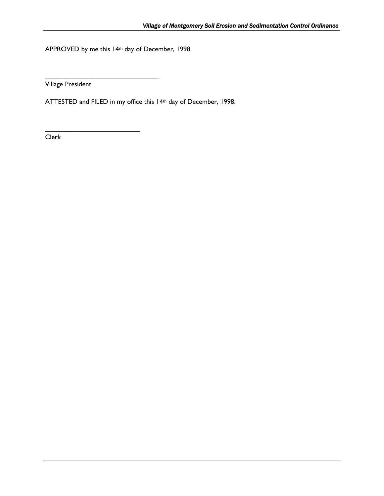APPROVED by me this 14th day of December, 1998.

 $\mathcal{L}_\text{max}$  , where  $\mathcal{L}_\text{max}$  and  $\mathcal{L}_\text{max}$ 

 $\overline{\phantom{a}}$  , where  $\overline{\phantom{a}}$ 

Village President

ATTESTED and FILED in my office this 14th day of December, 1998.

Clerk